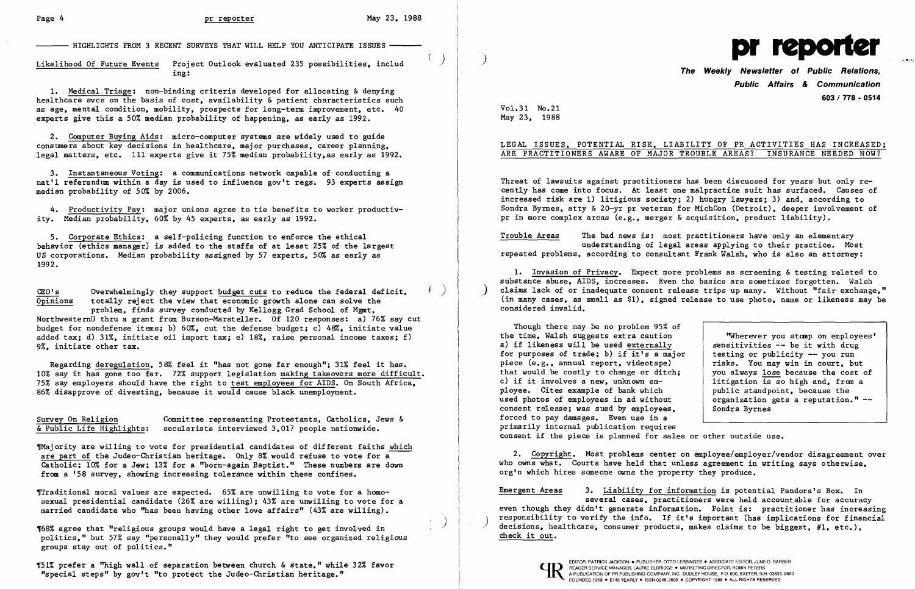$-$  HIGHLIGHTS FROM 3 RECENT SURVEYS THAT WILL HELP YOU ANTICIPATE ISSUES  $\cdot$ 

) Likelihood Of Future Events Project Outlook evaluated 235 possibilities. inc1ud ing:

1. Medical Triage: non-binding criteria developed for allocating & denying healthcare svcs on the basis of cost, availability & patient characteristics such as age, mental condition, mobility, prospects for long-term improvement, etc. 40 experts give this a 50% median probability of happening. as early as 1992.

2. Computer Buying Aids: micro-computer systems are widely used to guide consumers about key decisions in hea1thcare. major purchases. career planning. legal matters. etc. 111 experts give it 75% median probability. as early as 1992.

 $CEO's$  Overwhelmingly they support budget cuts to reduce the federal deficit,  $\overline{Opinions}$  totally reject the view that economic growth alone can solve the totally reject the view that economic growth alone can solve the problem. finds survey conducted by Kellogg Grad School of Mgmt,

3. Instantaneous Voting: a communications network capable of conducting a nat'l referendum within a day is used to influence gov't regs. 93 experts assign median probability of 50% by 2006.

4. Productivity Pay: major unions agree to tie benefits to worker productivity. Median probability. 60% by 45 experts. as early as 1992.

5. Corporate Ethics: a self-policing function to enforce the ethical behavior (ethics manager) is added to the staffs of at least 25% of the largest US corporations. Median probability assigned by 57 experts. 50% as early as 1992.

NorthwesternU thru a grant from Burson-Marsteller. Of 120 responses: a) 76% say cut budget for nondefense items; b) 60%. cut the defense budget; c) 48%. initiate value added tax; d) 31%. initiate oil import tax; e) 18%, raise personal income taxes; f) 9%. initiate other tax.

Regarding deregulation, 58% feel it "has not gone far enough": 31% feel it has. 10% say it has gone too far. 72% support legislation making takeovers more difficult. 75% say employers should have the right to test employees for AIDS. On South Africa, 86% disapprove of divesting. because it would cause black unemployment.

Survey On Religion Committee representing Protestants, Catholics, Jews & & Public Life Highlights: secularists interviewed 3,017 people nationwide. secularists interviewed 3.017 people nationwide.

1Majority are willing to vote for presidential candidates of different faiths which are part of the Judeo-Christian heritage. Only 8% would refuse to vote for a Catholic; 10% for a Jew: 13% for a "born-again Baptist." These numbers are down from a '58 survey, showing increasing tolerance within these confines.

Traditional moral values are expected. 65% are unwilling to vote for a homosexual presidential candidate (26% are willing): 43% are unwilling to vote for a married candidate who "has been having other love affairs" (43% are willing).

"Wherever you stomp on employees' sensitivities -- be it with drug testing or publicity -- you run risks. You may win in court, but you always lose because the cost of litigation is so high and, from a public standpoint, because the organization gets a reputation." -

) 4[68% agree that "religious groups would have a legal right to get involved in politics," but 57% say "personally" they would prefer "to see organized religious groups stay out of politics."

Thigh wall of separation between church & state," while 32% favor and the state of the state of the state of the state of the state of the state of the state of the state of the state of the state of the state of the state "special steps" by gov't "to protect the Judeo-Christian heritage."



**The Weekly Newsletter of Public Relations, Public Affairs & Communication 603 I 778 - 0514** 

Vo1.31 No.21 May 23, 1988

## LEGAL ISSUES. POTENTIAL RISK, LIABILITY OF PR ACTIVITIES HAS INCREASED: ARE PRACTITIONERS AWARE OF MAJOR TROUBLE AREAS? INSURANCE NEEDED NOW?

Threat of lawsuits against practitioners has been discussed for years but only recently has come into focus. At least one malpractice suit has surfaced. Causes of increased risk are 1) litigious society; 2) hungry lawyers: 3) and, according to Sondra Byrnes, atty & 20-yr pr veteran for MichCon (Detroit). deeper involvement of pr in more complex areas (e.g., merger & acquisition. product liability).

Trouble Areas The bad news is: most practitioners have only an elementary understanding of legal areas applying to their practice. Most repeated problems, according to consultant Frank Walsh, who is also an attorney:

1. Invasion of Privacy. Expect more problems as screening & testing related to substance abuse, AIDS, increases. Even the basics are sometimes forgotten. Walsh claims lack of or inadequate consent release trips up many. Without "fair exchange," (in many cases, as small as \$1), signed release to use photo. name or likeness may be considered invalid.

Though there may be no problem 95% of the time, Walsh suggests extra caution a) if likeness will be used externally for purposes of trade; b) if it's a major piece (e.g., annual report, videotape) that would be costly to change or ditch; c) if it involves a new. unknown employee. Cites example of bank which used photos of employees in ad without consent release; was sued by employees, forced to pay damages. Even use in a primarily internal publication requires consent if the piece is planned for sales or other outside use. Sondra Byrnes

2. COpyright. Most problems center on employee/employer/vendor disagreement over who owns what. Courts have held that unless agreement in writing says otherwise, org'n which hires someone owns the property they produce.

Emergent Areas 3. Liability for information is potential Pandora's Box. In several cases, practitioners were held accountable for accuracy even though they didn't generate information. Point is: practitioner has increasing responsibility to verify the info. If it's important (has implications for financial decisions, healthcare, consumer products, makes claims to be biggest,  $#1$ , etc.), check it out.

FOUNDED 1958 • \$145 YEARLY • ISSN 0048-2609 • COPYRIGHT 1988 • ALL RIGHTS RESERVED